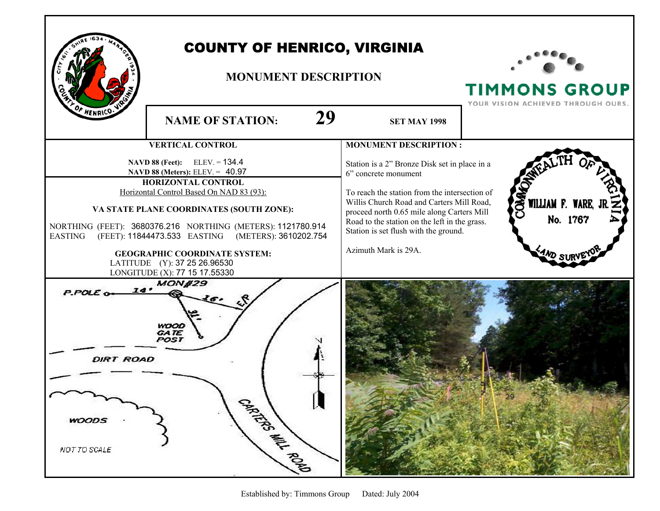

## COUNTY OF HENRICO, VIRGINIA

## **MONUMENT DESCRIPTION**



**TIMMONS GROUP**